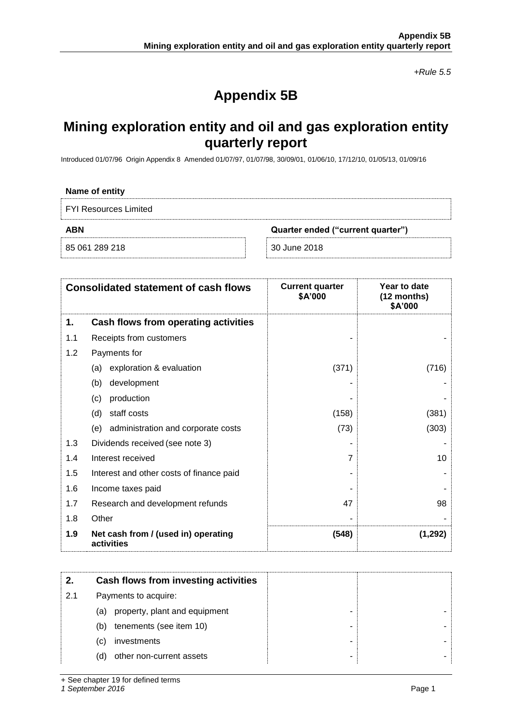*+Rule 5.5*

# **Appendix 5B**

# **Mining exploration entity and oil and gas exploration entity quarterly report**

Introduced 01/07/96 Origin Appendix 8 Amended 01/07/97, 01/07/98, 30/09/01, 01/06/10, 17/12/10, 01/05/13, 01/09/16

| Name of entity                                  |              |  |  |
|-------------------------------------------------|--------------|--|--|
| <b>FYI Resources Limited</b>                    |              |  |  |
| <b>ABN</b><br>Quarter ended ("current quarter") |              |  |  |
| 85 061 289 218                                  | 30 June 2018 |  |  |

| <b>Consolidated statement of cash flows</b> |                                                   | <b>Current quarter</b><br>\$A'000 | Year to date<br>(12 months)<br>\$A'000 |
|---------------------------------------------|---------------------------------------------------|-----------------------------------|----------------------------------------|
| 1.                                          | Cash flows from operating activities              |                                   |                                        |
| 1.1                                         | Receipts from customers                           |                                   |                                        |
| 1.2                                         | Payments for                                      |                                   |                                        |
|                                             | exploration & evaluation<br>(a)                   | (371)                             | (716)                                  |
|                                             | development<br>(b)                                |                                   |                                        |
|                                             | production<br>(c)                                 |                                   |                                        |
|                                             | staff costs<br>(d)                                | (158)                             | (381)                                  |
|                                             | administration and corporate costs<br>(e)         | (73)                              | (303)                                  |
| 1.3                                         | Dividends received (see note 3)                   |                                   |                                        |
| 1.4                                         | Interest received                                 | 7                                 | 10                                     |
| 1.5                                         | Interest and other costs of finance paid          |                                   |                                        |
| 1.6                                         | Income taxes paid                                 |                                   |                                        |
| 1.7                                         | Research and development refunds                  | 47                                | 98                                     |
| 1.8                                         | Other                                             |                                   |                                        |
| 1.9                                         | Net cash from / (used in) operating<br>activities | (548)                             | (1,292)                                |

|     | Cash flows from investing activities |   |
|-----|--------------------------------------|---|
| 2.1 | Payments to acquire:                 |   |
|     | property, plant and equipment<br>(a) | - |
|     | tenements (see item 10)<br>(b)       |   |
|     | investments<br>(C)                   |   |
|     | other non-current assets<br>(d)      |   |

+ See chapter 19 for defined terms

*1 September 2016* Page 1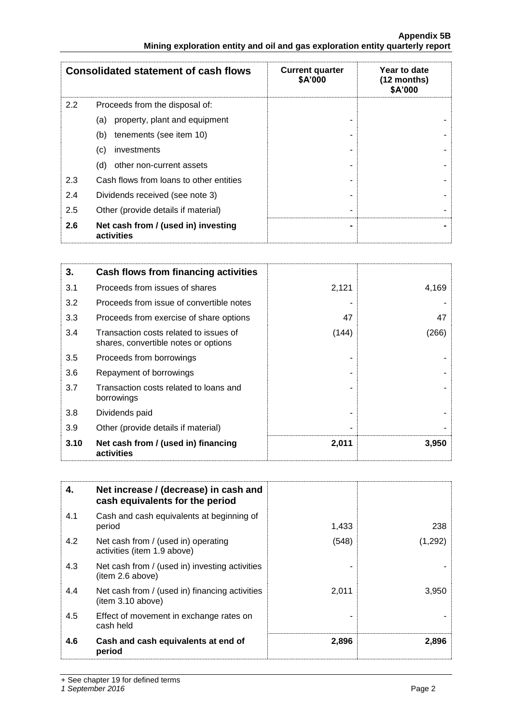|               | <b>Consolidated statement of cash flows</b>       | <b>Current quarter</b><br>\$A'000 | Year to date<br>(12 months)<br>\$A'000 |
|---------------|---------------------------------------------------|-----------------------------------|----------------------------------------|
| $2.2^{\circ}$ | Proceeds from the disposal of:                    |                                   |                                        |
|               | property, plant and equipment<br>(a)              |                                   |                                        |
|               | tenements (see item 10)<br>(b)                    |                                   |                                        |
|               | (c)<br>investments                                |                                   |                                        |
|               | other non-current assets<br>(d)                   |                                   |                                        |
| 2.3           | Cash flows from loans to other entities           |                                   |                                        |
| 2.4           | Dividends received (see note 3)                   |                                   |                                        |
| 2.5           | Other (provide details if material)               |                                   |                                        |
| 2.6           | Net cash from / (used in) investing<br>activities |                                   |                                        |

| 3.   | Cash flows from financing activities                                           |       |       |
|------|--------------------------------------------------------------------------------|-------|-------|
| 3.1  | Proceeds from issues of shares                                                 | 2,121 | 4,169 |
| 3.2  | Proceeds from issue of convertible notes                                       |       |       |
| 3.3  | Proceeds from exercise of share options                                        | 47    | 47    |
| 3.4  | Transaction costs related to issues of<br>shares, convertible notes or options | (144) | (266) |
| 3.5  | Proceeds from borrowings                                                       |       |       |
| 3.6  | Repayment of borrowings                                                        |       |       |
| 3.7  | Transaction costs related to loans and<br>borrowings                           |       |       |
| 3.8  | Dividends paid                                                                 |       |       |
| 3.9  | Other (provide details if material)                                            |       |       |
| 3.10 | Net cash from / (used in) financing<br>activities                              | 2,011 | 3,950 |

| 4.  | Net increase / (decrease) in cash and<br>cash equivalents for the period |       |         |
|-----|--------------------------------------------------------------------------|-------|---------|
| 4.1 | Cash and cash equivalents at beginning of<br>period                      | 1,433 | 238     |
| 4.2 | Net cash from / (used in) operating<br>activities (item 1.9 above)       | (548) | (1,292) |
| 4.3 | Net cash from / (used in) investing activities<br>(item 2.6 above)       |       |         |
| 4.4 | Net cash from / (used in) financing activities<br>(item 3.10 above)      | 2,011 | 3,950   |
| 4.5 | Effect of movement in exchange rates on<br>cash held                     |       |         |
| 4.6 | Cash and cash equivalents at end of<br>period                            | 2,896 | 2,896   |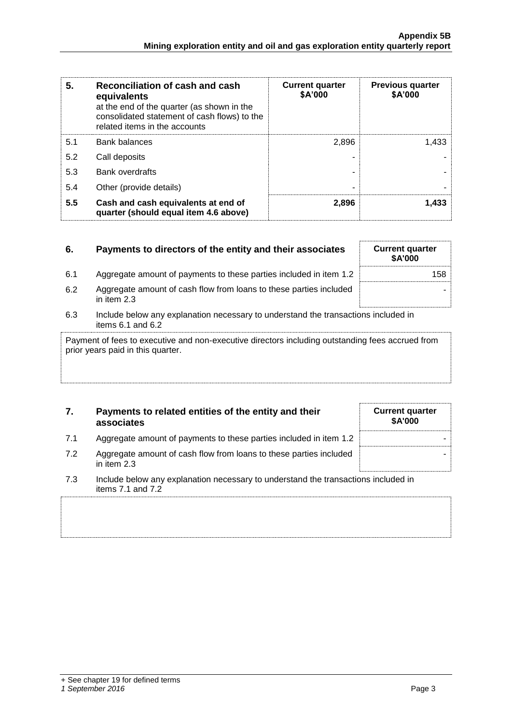| 5.<br>Reconciliation of cash and cash<br>equivalents<br>at the end of the quarter (as shown in the<br>consolidated statement of cash flows) to the<br>related items in the accounts |                                                                              | <b>Current quarter</b><br>\$A'000 | <b>Previous quarter</b><br>\$A'000 |
|-------------------------------------------------------------------------------------------------------------------------------------------------------------------------------------|------------------------------------------------------------------------------|-----------------------------------|------------------------------------|
| 5.1                                                                                                                                                                                 | <b>Bank balances</b>                                                         | 2.896                             | 1.433                              |
| 5.2                                                                                                                                                                                 | Call deposits                                                                |                                   |                                    |
| 5.3                                                                                                                                                                                 | <b>Bank overdrafts</b>                                                       |                                   |                                    |
| 5.4                                                                                                                                                                                 | Other (provide details)                                                      | -                                 |                                    |
| 5.5                                                                                                                                                                                 | Cash and cash equivalents at end of<br>quarter (should equal item 4.6 above) | 2,896                             | 1,433                              |

| 6.  | Payments to directors of the entity and their associates                                                    | <b>Current quarter</b><br><b>\$A'000</b> |
|-----|-------------------------------------------------------------------------------------------------------------|------------------------------------------|
| 6.1 | Aggregate amount of payments to these parties included in item 1.2                                          | 158                                      |
| 6.2 | Aggregate amount of cash flow from loans to these parties included<br>in item 2.3                           |                                          |
| 6.3 | Include below any explanation necessary to understand the transactions included in<br>items $6.1$ and $6.2$ |                                          |
|     | Payment of fees to executive and non-executive directors including outstanding fees accrued from            |                                          |

Payment of fees to executive and non-executive directors including outstanding fees accrued from prior years paid in this quarter.

## **7. Payments to related entities of the entity and their associates**

| <b>Current quarter</b><br>\$A'000 |
|-----------------------------------|
|                                   |
|                                   |

- 7.1 Aggregate amount of payments to these parties included in item 1.2
- 7.2 Aggregate amount of cash flow from loans to these parties included in item 2.3
- 7.3 Include below any explanation necessary to understand the transactions included in items 7.1 and 7.2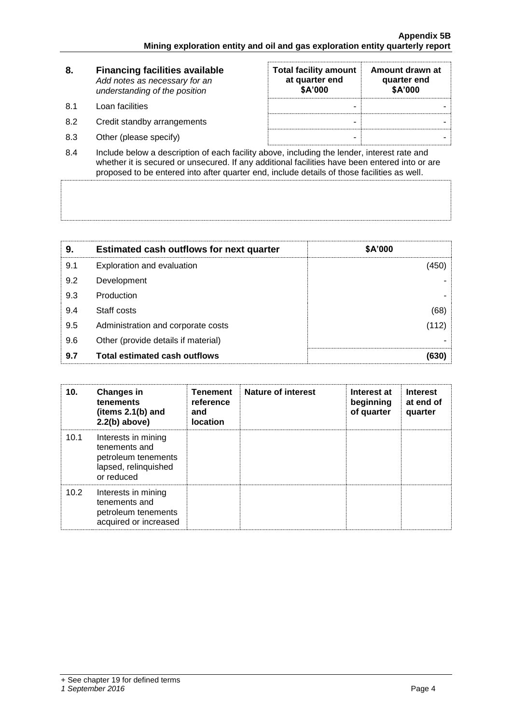| 8.  | <b>Financing facilities available</b><br>Add notes as necessary for an<br>understanding of the position           | <b>Total facility amount</b><br>at quarter end<br>\$A'000 | Amount drawn at<br>quarter end<br>\$A'000 |
|-----|-------------------------------------------------------------------------------------------------------------------|-----------------------------------------------------------|-------------------------------------------|
| 8.1 | Loan facilities                                                                                                   | -                                                         |                                           |
| 8.2 | Credit standby arrangements                                                                                       | -                                                         |                                           |
| 8.3 | Other (please specify)                                                                                            | -                                                         |                                           |
|     | الرسم المفهوم فمحمولا متساويها والمقاوين المساوي المتحاطم ومقافاته فأستمر والمستقطع والمستقاد والمساوية والمساوية |                                                           |                                           |

8.4 Include below a description of each facility above, including the lender, interest rate and whether it is secured or unsecured. If any additional facilities have been entered into or are proposed to be entered into after quarter end, include details of those facilities as well.

| 9.  | <b>Estimated cash outflows for next quarter</b> | \$A'000 |
|-----|-------------------------------------------------|---------|
| 9.1 | Exploration and evaluation                      | (450)   |
| 9.2 | Development                                     |         |
| 9.3 | Production                                      |         |
| 9.4 | Staff costs                                     | (68)    |
| 9.5 | Administration and corporate costs              | (112)   |
| 9.6 | Other (provide details if material)             |         |
| 9.7 | <b>Total estimated cash outflows</b>            | (630)   |

| 10.  | <b>Changes in</b><br>tenements<br>(items 2.1(b) and<br>$2.2(b)$ above)                            | <b>Tenement</b><br>reference<br>and<br><b>location</b> | <b>Nature of interest</b> | Interest at<br>beginning<br>of quarter | <b>Interest</b><br>at end of<br>quarter |
|------|---------------------------------------------------------------------------------------------------|--------------------------------------------------------|---------------------------|----------------------------------------|-----------------------------------------|
| 10.1 | Interests in mining<br>tenements and<br>petroleum tenements<br>lapsed, relinquished<br>or reduced |                                                        |                           |                                        |                                         |
| 10.2 | Interests in mining<br>tenements and<br>petroleum tenements<br>acquired or increased              |                                                        |                           |                                        |                                         |